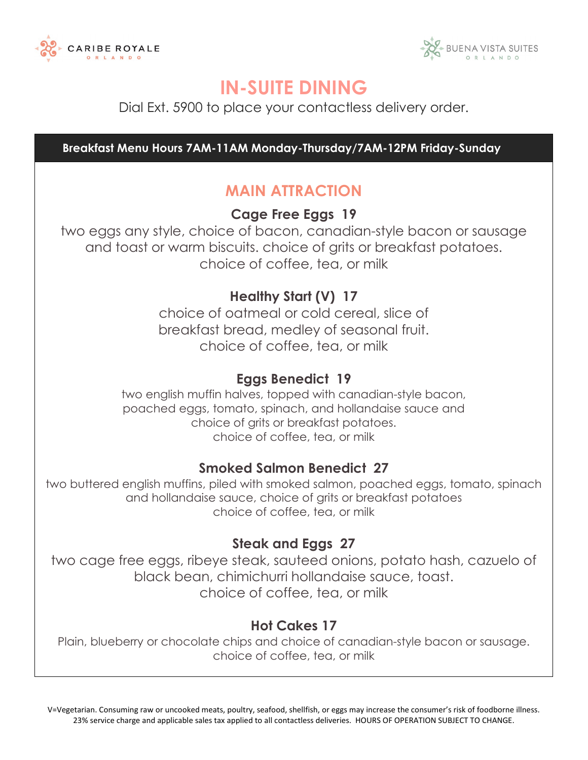



Dial Ext. 5900 to place your contactless delivery order.

 **Breakfast Menu Hours 7AM-11AM Monday-Thursday/7AM-12PM Friday-Sunday** 

#### **MAIN ATTRACTION**

**Cage Free Eggs 19** 

two eggs any style, choice of bacon, canadian-style bacon or sausage and toast or warm biscuits. choice of grits or breakfast potatoes. choice of coffee, tea, or milk

#### **Healthy Start (V) 17**

choice of oatmeal or cold cereal, slice of breakfast bread, medley of seasonal fruit. choice of coffee, tea, or milk

#### **Eggs Benedict 19**

two english muffin halves, topped with canadian-style bacon, poached eggs, tomato, spinach, and hollandaise sauce and choice of grits or breakfast potatoes. choice of coffee, tea, or milk

#### **Smoked Salmon Benedict 27**

two buttered english muffins, piled with smoked salmon, poached eggs, tomato, spinach and hollandaise sauce, choice of grits or breakfast potatoes choice of coffee, tea, or milk

#### **Steak and Eggs 27**

two cage free eggs, ribeye steak, sauteed onions, potato hash, cazuelo of black bean, chimichurri hollandaise sauce, toast. choice of coffee, tea, or milk

#### **Hot Cakes 17**

Plain, blueberry or chocolate chips and choice of canadian-style bacon or sausage. choice of coffee, tea, or milk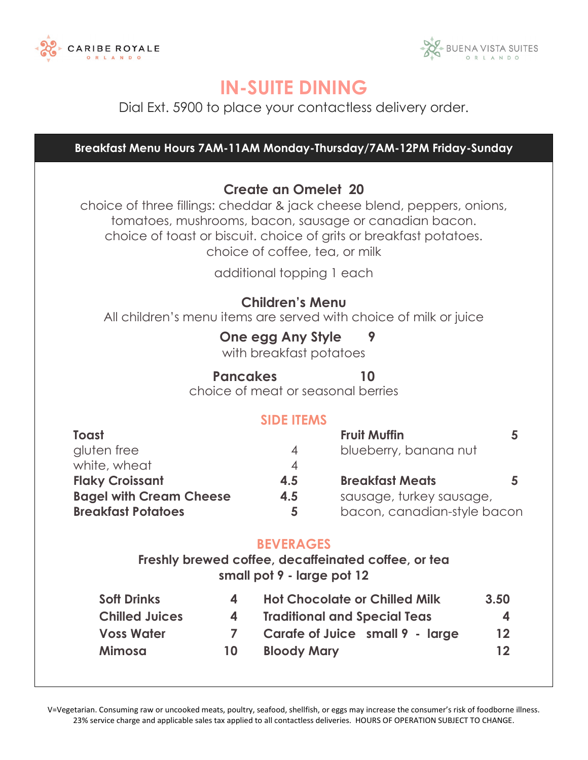



Dial Ext. 5900 to place your contactless delivery order.

**Breakfast Menu Hours 7AM-11AM Monday-Thursday/7AM-12PM Friday-Sunday**

#### **Create an Omelet 20**

choice of three fillings: cheddar & jack cheese blend, peppers, onions, tomatoes, mushrooms, bacon, sausage or canadian bacon. choice of toast or biscuit. choice of grits or breakfast potatoes. choice of coffee, tea, or milk

additional topping 1 each

#### **Children's Menu**

All children's menu items are served with choice of milk or juice

#### **One egg Any Style 9**

with breakfast potatoes

#### **Pancakes 10**

choice of meat or seasonal berries

#### **SIDE ITEMS**

| Toast                          |     | <b>Fruit Muffin</b>         |  |
|--------------------------------|-----|-----------------------------|--|
| gluten free                    | 4   | blueberry, banana nut       |  |
| white, wheat                   |     |                             |  |
| <b>Flaky Croissant</b>         | 4.5 | <b>Breakfast Meats</b>      |  |
| <b>Bagel with Cream Cheese</b> | 4.5 | sausage, turkey sausage,    |  |
| <b>Breakfast Potatoes</b>      |     | bacon, canadian-style bacon |  |
|                                |     |                             |  |

#### **BEVERAGES**

**Freshly brewed coffee, decaffeinated coffee, or tea small pot 9 - large pot 12** 

| <b>Soft Drinks</b>    | 4  | <b>Hot Chocolate or Chilled Milk</b> | 3.50 |
|-----------------------|----|--------------------------------------|------|
| <b>Chilled Juices</b> |    | <b>Traditional and Special Teas</b>  | 4    |
| <b>Voss Water</b>     |    | Carafe of Juice small 9 - large      | 12   |
| <b>Mimosa</b>         | 10 | <b>Bloody Mary</b>                   | 12   |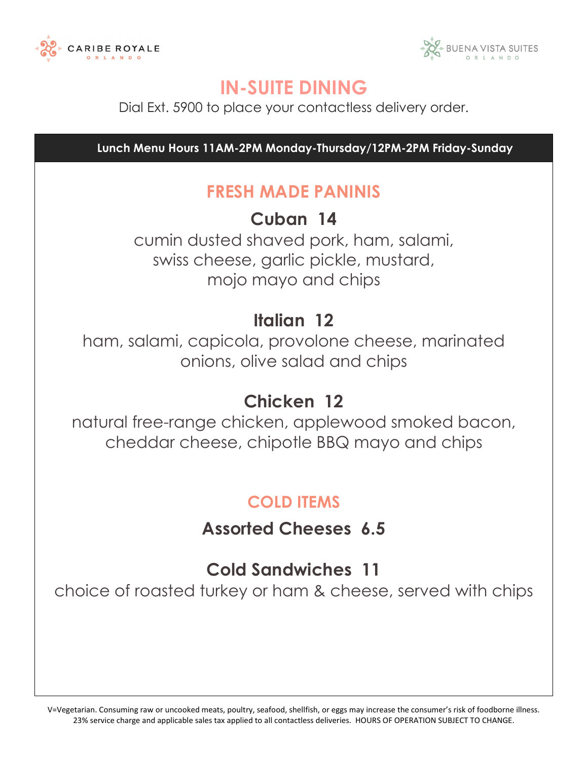



Dial Ext. 5900 to place your contactless delivery order.

 **Lunch Menu Hours 11AM-2PM Monday-Thursday/12PM-2PM Friday-Sunday**

### **FRESH MADE PANINIS**

**Cuban 14**

cumin dusted shaved pork, ham, salami, swiss cheese, garlic pickle, mustard, mojo mayo and chips

## **Italian 12**

ham, salami, capicola, provolone cheese, marinated onions, olive salad and chips

## **Chicken 12**

natural free-range chicken, applewood smoked bacon, cheddar cheese, chipotle BBQ mayo and chips

## **COLD ITEMS**

**Assorted Cheeses 6.5** 

## **Cold Sandwiches 11**

choice of roasted turkey or ham & cheese, served with chips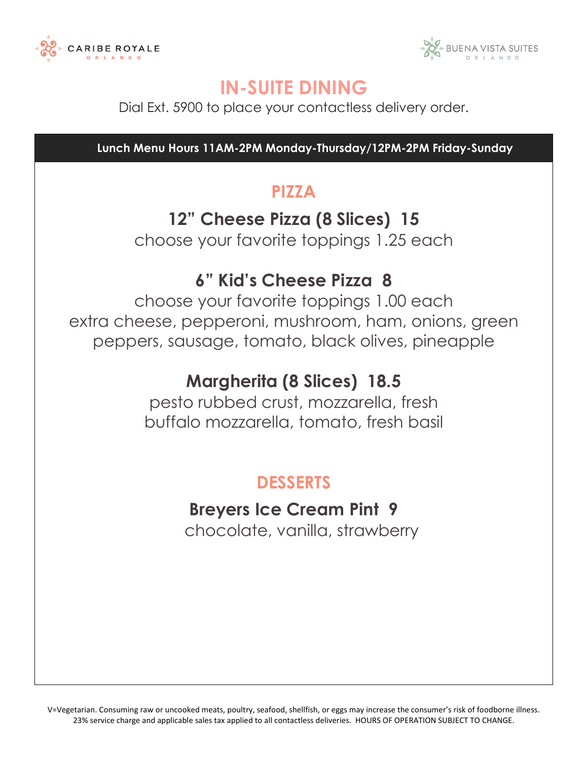



Dial Ext. 5900 to place your contactless delivery order.

 **Lunch Menu Hours 11AM-2PM Monday-Thursday/12PM-2PM Friday-Sunday**

## **PIZZA**

### **12" Cheese Pizza (8 Slices) 15**

choose your favorite toppings 1.25 each

## **6" Kid's Cheese Pizza 8**

choose your favorite toppings 1.00 each extra cheese, pepperoni, mushroom, ham, onions, green peppers, sausage, tomato, black olives, pineapple

## **Margherita (8 Slices) 18.5**

pesto rubbed crust, mozzarella, fresh buffalo mozzarella, tomato, fresh basil

## **DESSERTS**

# **Breyers Ice Cream Pint 9**

chocolate, vanilla, strawberry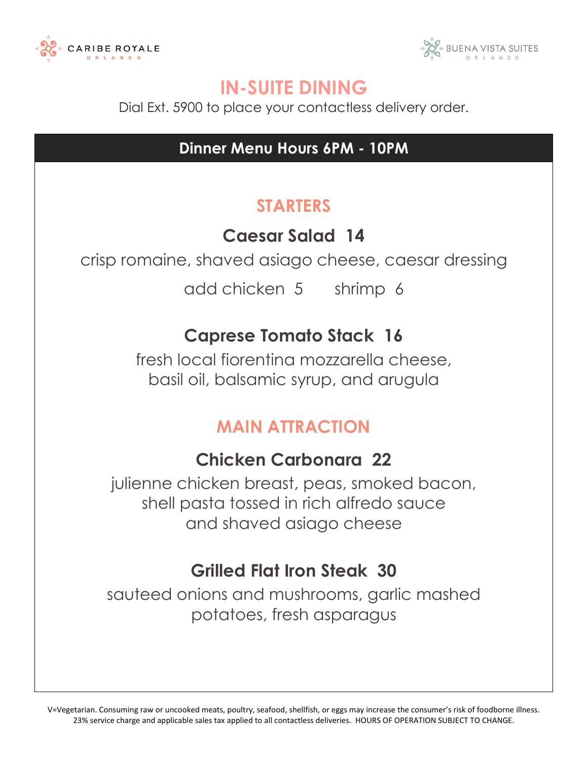



Dial Ext. 5900 to place your contactless delivery order.

## **Dinner Menu Hours 6PM - 10PM**

## **STARTERS**

## **Caesar Salad 14**

crisp romaine, shaved asiago cheese, caesar dressing

add chicken 5 shrimp 6

## **Caprese Tomato Stack 16**

fresh local fiorentina mozzarella cheese, basil oil, balsamic syrup, and arugula

### **MAIN ATTRACTION**

### **Chicken Carbonara 22**

julienne chicken breast, peas, smoked bacon, shell pasta tossed in rich alfredo sauce and shaved asiago cheese

### **Grilled Flat Iron Steak 30**

sauteed onions and mushrooms, garlic mashed potatoes, fresh asparagus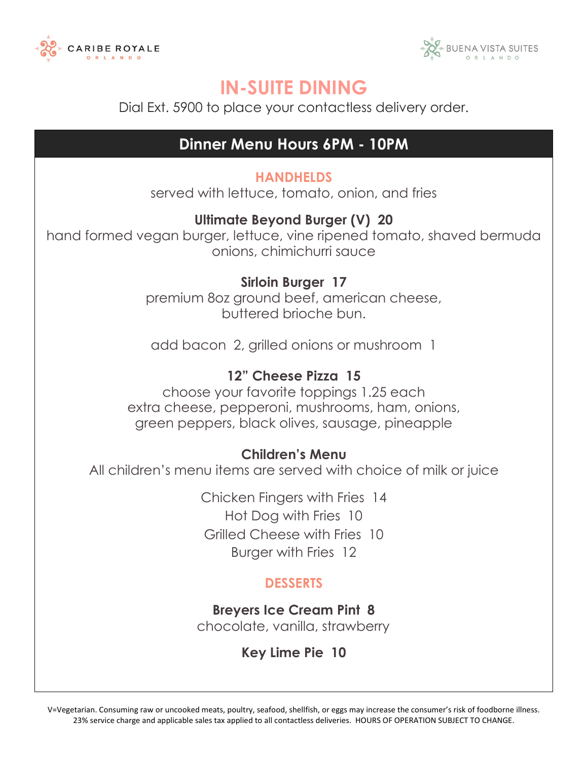



Dial Ext. 5900 to place your contactless delivery order.

#### **Dinner Menu Hours 6PM - 10PM**

#### **HANDHELDS**

served with lettuce, tomato, onion, and fries

#### **Ultimate Beyond Burger (V) 20**

hand formed vegan burger, lettuce, vine ripened tomato, shaved bermuda onions, chimichurri sauce

#### **Sirloin Burger 17**

premium 8oz ground beef, american cheese, buttered brioche bun.

add bacon 2, grilled onions or mushroom 1

#### **12" Cheese Pizza 15**

choose your favorite toppings 1.25 each extra cheese, pepperoni, mushrooms, ham, onions, green peppers, black olives, sausage, pineapple

#### **Children's Menu**

All children's menu items are served with choice of milk or juice

Chicken Fingers with Fries 14 Hot Dog with Fries 10 Grilled Cheese with Fries 10 Burger with Fries 12

#### **DESSERTS**

**Breyers Ice Cream Pint 8** chocolate, vanilla, strawberry

**Key Lime Pie 10**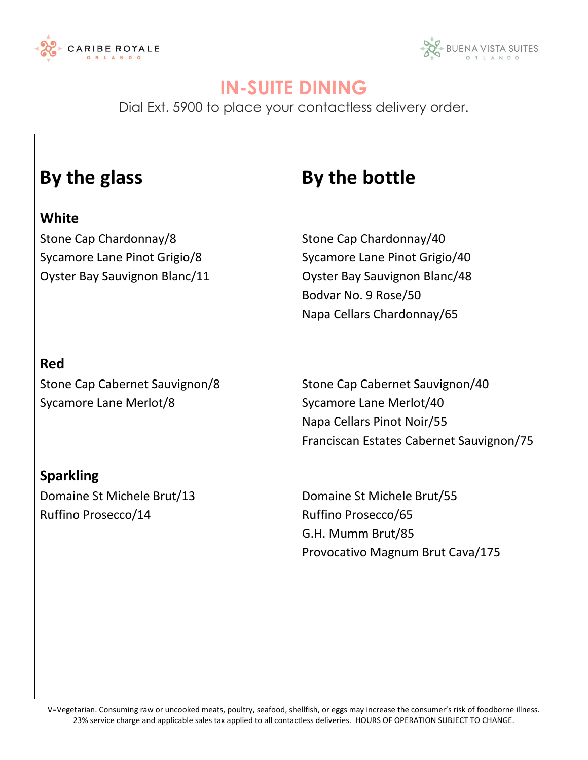



Dial Ext. 5900 to place your contactless delivery order.

#### **White**

Stone Cap Chardonnay/8 Stone Cap Chardonnay/40

## **By the glass By the bottle**

Sycamore Lane Pinot Grigio/8 Sycamore Lane Pinot Grigio/40 Oyster Bay Sauvignon Blanc/11 Oyster Bay Sauvignon Blanc/48 Bodvar No. 9 Rose/50 Napa Cellars Chardonnay/65

#### **Red**

Sycamore Lane Merlot/8 Sycamore Lane Merlot/40

Stone Cap Cabernet Sauvignon/8 Stone Cap Cabernet Sauvignon/40 Napa Cellars Pinot Noir/55 Franciscan Estates Cabernet Sauvignon/75

#### **Sparkling**

Ruffino Prosecco/14 Ruffino Prosecco/65

Domaine St Michele Brut/13 Domaine St Michele Brut/55 G.H. Mumm Brut/85 Provocativo Magnum Brut Cava/175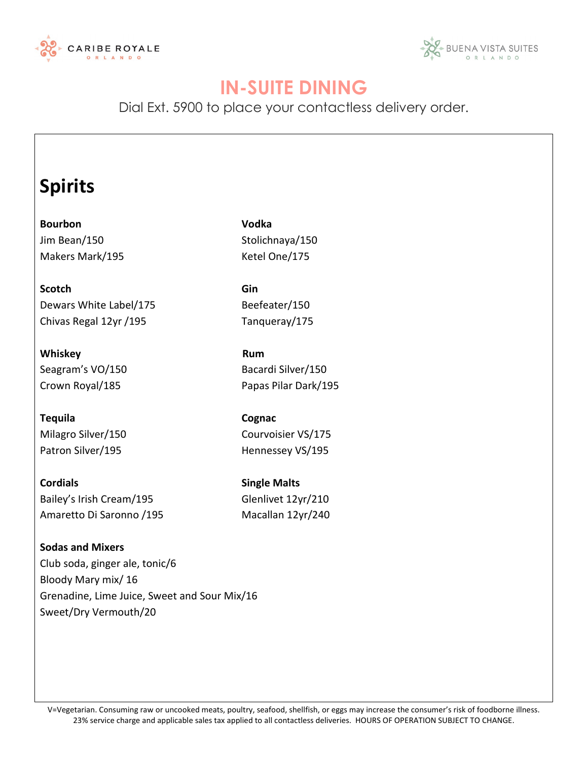



Dial Ext. 5900 to place your contactless delivery order.

## **Spirits**

**Bourbon Vodka** Jim Bean/150 Stolichnaya/150 Makers Mark/195 Makers Mark 1995

**Scotch Gin** Dewars White Label/175 Beefeater/150 Chivas Regal 12yr / 195 Tanqueray/175

Whiskey **Rum** Seagram's VO/150 Bacardi Silver/150

**Tequila Cognac** Milagro Silver/150 Courvoisier VS/175 Patron Silver/195 Hennessey VS/195

**Cordials Cordials Single Malts** Bailey's Irish Cream/195 Glenlivet 12yr/210 Amaretto Di Saronno / 195 Macallan 12yr/240

**Sodas and Mixers** Club soda, ginger ale, tonic/6 Bloody Mary mix/ 16 Grenadine, Lime Juice, Sweet and Sour Mix/16 Sweet/Dry Vermouth/20

Crown Royal/185 Papas Pilar Dark/195